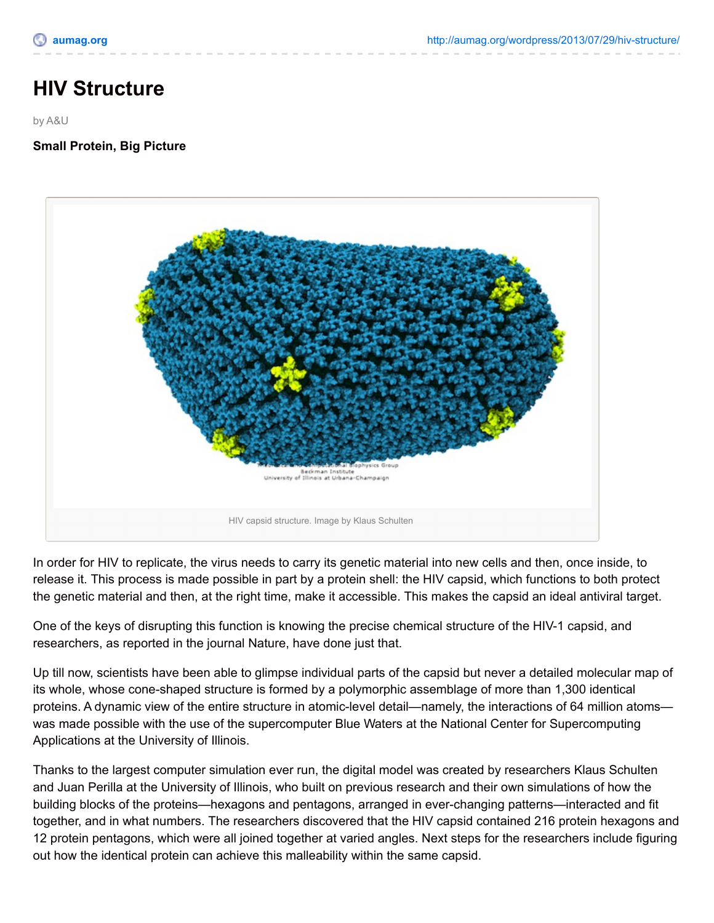## **HIV Structure**

by A&U

**Small Protein, Big Picture**



In order for HIV to replicate, the virus needs to carry its genetic material into new cells and then, once inside, to release it. This process is made possible in part by a protein shell: the HIV capsid, which functions to both protect the genetic material and then, at the right time, make it accessible. This makes the capsid an ideal antiviral target.

One of the keys of disrupting this function is knowing the precise chemical structure of the HIV-1 capsid, and researchers, as reported in the journal Nature, have done just that.

Up till now, scientists have been able to glimpse individual parts of the capsid but never a detailed molecular map of its whole, whose cone-shaped structure is formed by a polymorphic assemblage of more than 1,300 identical proteins. A dynamic view of the entire structure in atomic-level detail—namely, the interactions of 64 million atoms was made possible with the use of the supercomputer Blue Waters at the National Center for Supercomputing Applications at the University of Illinois.

Thanks to the largest computer simulation ever run, the digital model was created by researchers Klaus Schulten and Juan Perilla at the University of Illinois, who built on previous research and their own simulations of how the building blocks of the proteins—hexagons and pentagons, arranged in ever-changing patterns—interacted and fit together, and in what numbers. The researchers discovered that the HIV capsid contained 216 protein hexagons and 12 protein pentagons, which were all joined together at varied angles. Next steps for the researchers include figuring out how the identical protein can achieve this malleability within the same capsid.